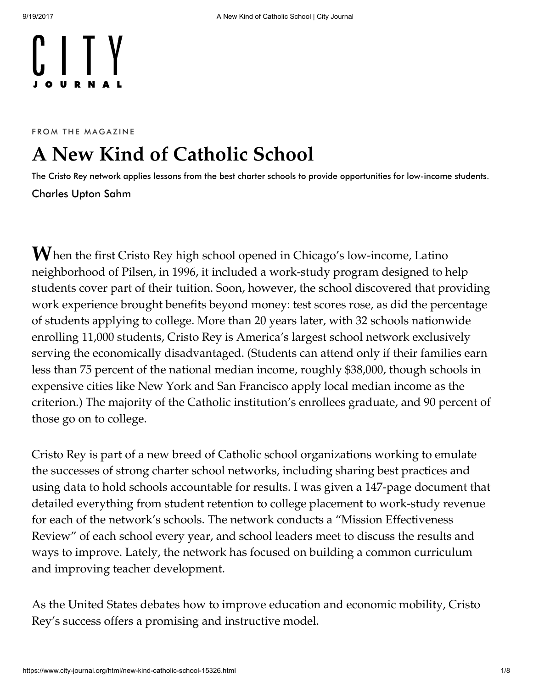FROM THE MAGAZINE

## A New Kind of Catholic School

The Cristo Rey network applies lessons from the best charter schools to provide opportunities for low-income students. [Charles](https://www.city-journal.org/contributor/charles-upton-sahm_178) Upton Sahm

 $\mathbf W$ hen the first Cristo Rey high school opened in Chicago's low-income, Latino neighborhood of Pilsen, in 1996, it included a work-study program designed to help students cover part of their tuition. Soon, however, the school discovered that providing work experience brought benefits beyond money: test scores rose, as did the percentage of students applying to college. More than 20 years later, with 32 schools nationwide enrolling 11,000 students, Cristo Rey is America's largest school network exclusively serving the economically disadvantaged. (Students can attend only if their families earn less than 75 percent of the national median income, roughly \$38,000, though schools in expensive cities like New York and San Francisco apply local median income as the criterion.) The majority of the Catholic institution's enrollees graduate, and 90 percent of those go on to college.

Cristo Rey is part of a new breed of Catholic school organizations working to emulate the successes of strong charter school networks, including sharing best practices and using data to hold schools accountable for results. I was given a 147-page document that detailed everything from student retention to college placement to work-study revenue for each of the network's schools. The network conducts a "Mission Effectiveness Review" of each school every year, and school leaders meet to discuss the results and ways to improve. Lately, the network has focused on building a common curriculum and improving teacher development.

As the United States debates how to improve education and economic mobility, Cristo Rey's success offers a promising and instructive model.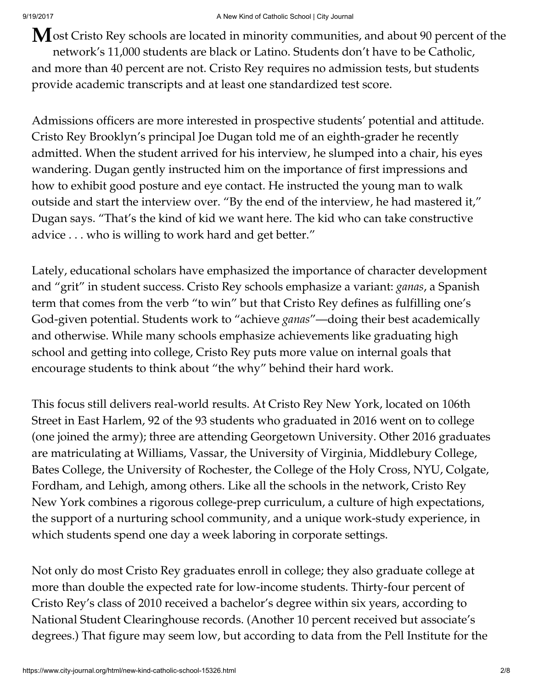$M$ ost Cristo Rey schools are located in minority communities, and about 90 percent of the network's 11,000 students are black or Latino. Students don't have to be Catholic, and more than 40 percent are not. Cristo Rey requires no admission tests, but students provide academic transcripts and at least one standardized test score.

Admissions officers are more interested in prospective students' potential and attitude. Cristo Rey Brooklyn's principal Joe Dugan told me of an eighth-grader he recently admitted. When the student arrived for his interview, he slumped into a chair, his eyes wandering. Dugan gently instructed him on the importance of first impressions and how to exhibit good posture and eye contact. He instructed the young man to walk outside and start the interview over. "By the end of the interview, he had mastered it," Dugan says. "That's the kind of kid we want here. The kid who can take constructive advice . . . who is willing to work hard and get better."

Lately, educational scholars have emphasized the importance of character development and "grit" in student success. Cristo Rey schools emphasize a variant: *ganas,* a Spanish term that comes from the verb "to win" but that Cristo Rey defines as fulfilling one's God-given potential. Students work to "achieve ganas"—doing their best academically and otherwise. While many schools emphasize achievements like graduating high school and getting into college, Cristo Rey puts more value on internal goals that encourage students to think about "the why" behind their hard work.

This focus still delivers real-world results. At Cristo Rey New York, located on 106th Street in East Harlem, 92 of the 93 students who graduated in 2016 went on to college (one joined the army); three are attending Georgetown University. Other 2016 graduates are matriculating at Williams, Vassar, the University of Virginia, Middlebury College, Bates College, the University of Rochester, the College of the Holy Cross, NYU, Colgate, Fordham, and Lehigh, among others. Like all the schools in the network, Cristo Rey New York combines a rigorous college-prep curriculum, a culture of high expectations, the support of a nurturing school community, and a unique work-study experience, in which students spend one day a week laboring in corporate settings.

Not only do most Cristo Rey graduates enroll in college; they also graduate college at more than double the expected rate for low-income students. Thirty-four percent of Cristo Rey's class of 2010 received a bachelor's degree within six years, according to National Student Clearinghouse records. (Another 10 percent received but associate's degrees.) That figure may seem low, but according to data from the Pell Institute for the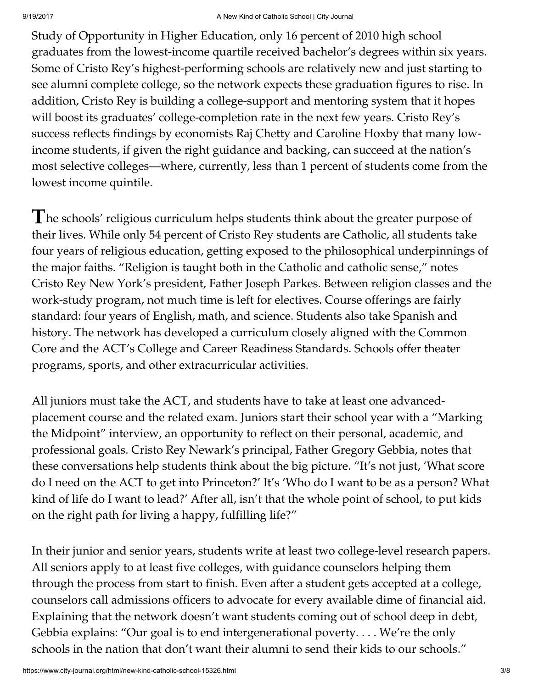Study of Opportunity in Higher Education, only 16 percent of 2010 high school graduates from the lowest-income quartile received bachelor's degrees within six years. Some of Cristo Rey's highest-performing schools are relatively new and just starting to see alumni complete college, so the network expects these graduation figures to rise. In addition, Cristo Rey is building a college-support and mentoring system that it hopes will boost its graduates' college-completion rate in the next few years. Cristo Rey's success reflects findings by economists Raj Chetty and Caroline Hoxby that many lowincome students, if given the right guidance and backing, can succeed at the nation's most selective colleges—where, currently, less than 1 percent of students come from the lowest income quintile.

 $\mathbf T$ he schools' religious curriculum helps students think about the greater purpose of their lives. While only 54 percent of Cristo Rey students are Catholic, all students take four years of religious education, getting exposed to the philosophical underpinnings of the major faiths. "Religion is taught both in the Catholic and catholic sense," notes Cristo Rey New York's president, Father Joseph Parkes. Between religion classes and the work-study program, not much time is left for electives. Course offerings are fairly standard: four years of English, math, and science. Students also take Spanish and history. The network has developed a curriculum closely aligned with the Common Core and the ACT's College and Career Readiness Standards. Schools offer theater programs, sports, and other extracurricular activities.

All juniors must take the ACT, and students have to take at least one advancedplacement course and the related exam. Juniors start their school year with a "Marking the Midpoint" interview, an opportunity to reflect on their personal, academic, and professional goals. Cristo Rey Newark's principal, Father Gregory Gebbia, notes that these conversations help students think about the big picture. "It's not just, 'What score do I need on the ACT to get into Princeton?' It's 'Who do I want to be as a person? What kind of life do I want to lead?' After all, isn't that the whole point of school, to put kids on the right path for living a happy, fulfilling life?"

In their junior and senior years, students write at least two college-level research papers. All seniors apply to at least five colleges, with guidance counselors helping them through the process from start to finish. Even after a student gets accepted at a college, counselors call admissions officers to advocate for every available dime of financial aid. Explaining that the network doesn't want students coming out of school deep in debt, Gebbia explains: "Our goal is to end intergenerational poverty. . . . We're the only schools in the nation that don't want their alumni to send their kids to our schools."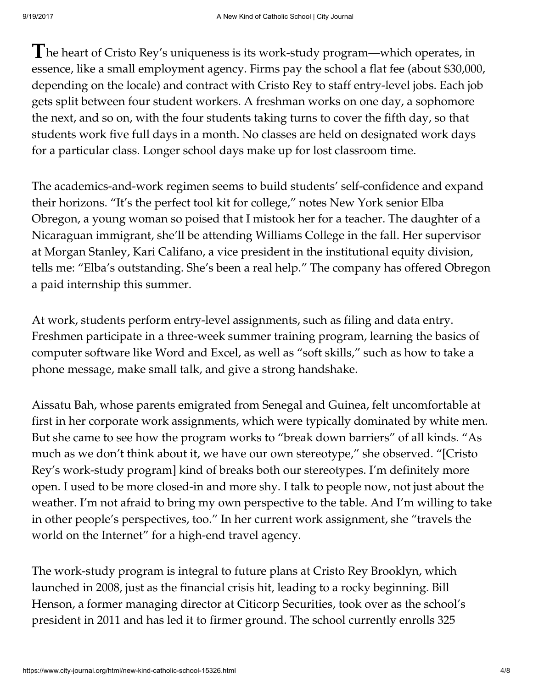$\blacksquare$  he heart of Cristo Rey's uniqueness is its work-study program—which operates, in essence, like a small employment agency. Firms pay the school a flat fee (about \$30,000, depending on the locale) and contract with Cristo Rey to staff entry-level jobs. Each job gets split between four student workers. A freshman works on one day, a sophomore the next, and so on, with the four students taking turns to cover the fifth day, so that students work five full days in a month. No classes are held on designated work days for a particular class. Longer school days make up for lost classroom time.

The academics-and-work regimen seems to build students' self-confidence and expand their horizons. "It's the perfect tool kit for college," notes New York senior Elba Obregon, a young woman so poised that I mistook her for a teacher. The daughter of a Nicaraguan immigrant, she'll be attending Williams College in the fall. Her supervisor at Morgan Stanley, Kari Califano, a vice president in the institutional equity division, tells me: "Elba's outstanding. She's been a real help." The company has offered Obregon a paid internship this summer.

At work, students perform entry-level assignments, such as filing and data entry. Freshmen participate in a three-week summer training program, learning the basics of computer software like Word and Excel, as well as "soft skills," such as how to take a phone message, make small talk, and give a strong handshake.

Aissatu Bah, whose parents emigrated from Senegal and Guinea, felt uncomfortable at first in her corporate work assignments, which were typically dominated by white men. But she came to see how the program works to "break down barriers" of all kinds. "As much as we don't think about it, we have our own stereotype," she observed. "[Cristo Rey's work-study program] kind of breaks both our stereotypes. I'm definitely more open. I used to be more closed-in and more shy. I talk to people now, not just about the weather. I'm not afraid to bring my own perspective to the table. And I'm willing to take in other people's perspectives, too." In her current work assignment, she "travels the world on the Internet" for a high-end travel agency.

The work-study program is integral to future plans at Cristo Rey Brooklyn, which launched in 2008, just as the financial crisis hit, leading to a rocky beginning. Bill Henson, a former managing director at Citicorp Securities, took over as the school's president in 2011 and has led it to firmer ground. The school currently enrolls 325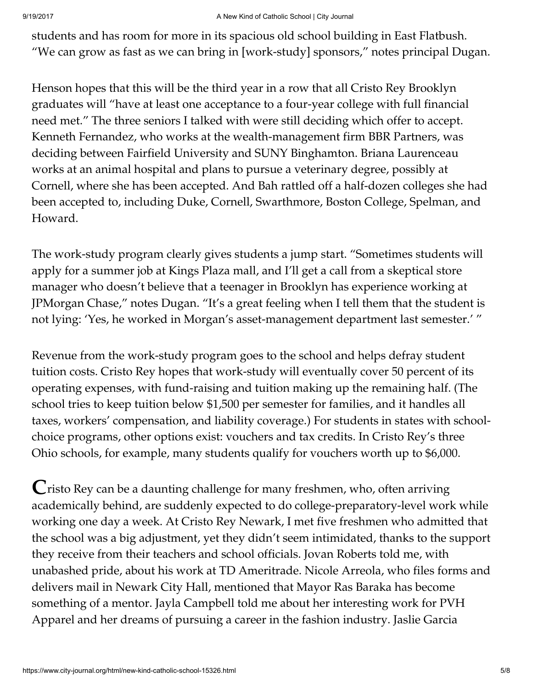students and has room for more in its spacious old school building in East Flatbush. "We can grow as fast as we can bring in [work-study] sponsors," notes principal Dugan.

Henson hopes that this will be the third year in a row that all Cristo Rey Brooklyn graduates will "have at least one acceptance to a four-year college with full financial need met." The three seniors I talked with were still deciding which offer to accept. Kenneth Fernandez, who works at the wealth-management firm BBR Partners, was deciding between Fairfield University and SUNY Binghamton. Briana Laurenceau works at an animal hospital and plans to pursue a veterinary degree, possibly at Cornell, where she has been accepted. And Bah rattled off a half-dozen colleges she had been accepted to, including Duke, Cornell, Swarthmore, Boston College, Spelman, and Howard.

The work-study program clearly gives students a jump start. "Sometimes students will apply for a summer job at Kings Plaza mall, and I'll get a call from a skeptical store manager who doesn't believe that a teenager in Brooklyn has experience working at JPMorgan Chase," notes Dugan. "It's a great feeling when I tell them that the student is not lying: 'Yes, he worked in Morgan's asset-management department last semester.' "

Revenue from the work-study program goes to the school and helps defray student tuition costs. Cristo Rey hopes that work-study will eventually cover 50 percent of its operating expenses, with fund-raising and tuition making up the remaining half. (The school tries to keep tuition below \$1,500 per semester for families, and it handles all taxes, workers' compensation, and liability coverage.) For students in states with schoolchoice programs, other options exist: vouchers and tax credits. In Cristo Rey's three Ohio schools, for example, many students qualify for vouchers worth up to \$6,000.

 $\mathbf C$ risto Rey can be a daunting challenge for many freshmen, who, often arriving academically behind, are suddenly expected to do college-preparatory-level work while working one day a week. At Cristo Rey Newark, I met five freshmen who admitted that the school was a big adjustment, yet they didn't seem intimidated, thanks to the support they receive from their teachers and school officials. Jovan Roberts told me, with unabashed pride, about his work at TD Ameritrade. Nicole Arreola, who files forms and delivers mail in Newark City Hall, mentioned that Mayor Ras Baraka has become something of a mentor. Jayla Campbell told me about her interesting work for PVH Apparel and her dreams of pursuing a career in the fashion industry. Jaslie Garcia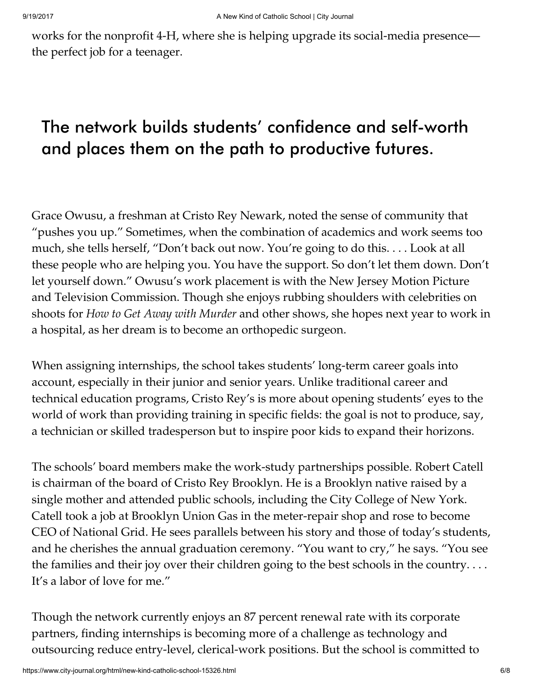works for the nonprofit 4-H, where she is helping upgrade its social-media presence the perfect job for a teenager.

## The network builds students' confidence and self-worth and places them on the path to productive futures.

Grace Owusu, a freshman at Cristo Rey Newark, noted the sense of community that "pushes you up." Sometimes, when the combination of academics and work seems too much, she tells herself, "Don't back out now. You're going to do this. . . . Look at all these people who are helping you. You have the support. So don't let them down. Don't let yourself down." Owusu's work placement is with the New Jersey Motion Picture and Television Commission. Though she enjoys rubbing shoulders with celebrities on shoots for How to Get Away with Murder and other shows, she hopes next year to work in a hospital, as her dream is to become an orthopedic surgeon.

When assigning internships, the school takes students' long-term career goals into account, especially in their junior and senior years. Unlike traditional career and technical education programs, Cristo Rey's is more about opening students' eyes to the world of work than providing training in specific fields: the goal is not to produce, say, a technician or skilled tradesperson but to inspire poor kids to expand their horizons.

The schools' board members make the work-study partnerships possible. Robert Catell is chairman of the board of Cristo Rey Brooklyn. He is a Brooklyn native raised by a single mother and attended public schools, including the City College of New York. Catell took a job at Brooklyn Union Gas in the meter-repair shop and rose to become CEO of National Grid. He sees parallels between his story and those of today's students, and he cherishes the annual graduation ceremony. "You want to cry," he says. "You see the families and their joy over their children going to the best schools in the country. . . . It's a labor of love for me."

Though the network currently enjoys an 87 percent renewal rate with its corporate partners, finding internships is becoming more of a challenge as technology and outsourcing reduce entry-level, clerical-work positions. But the school is committed to